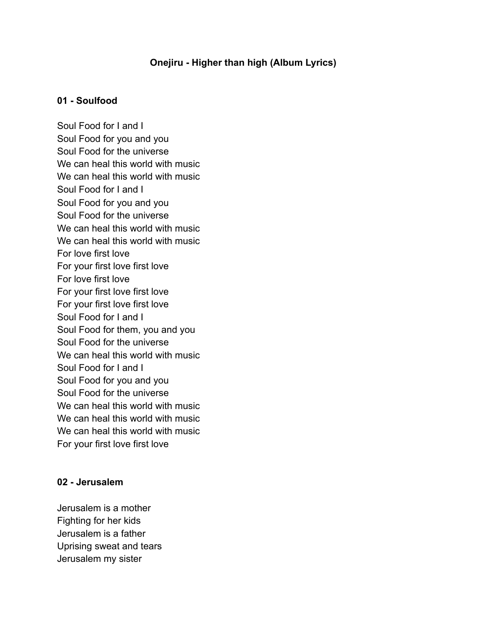# **Onejiru - Higher than high (Album Lyrics)**

# **01 - Soulfood**

Soul Food for I and I Soul Food for you and you Soul Food for the universe We can heal this world with music We can heal this world with music Soul Food for I and I Soul Food for you and you Soul Food for the universe We can heal this world with music We can heal this world with music For love first love For your first love first love For love first love For your first love first love For your first love first love Soul Food for I and I Soul Food for them, you and you Soul Food for the universe We can heal this world with music Soul Food for I and I Soul Food for you and you Soul Food for the universe We can heal this world with music We can heal this world with music We can heal this world with music For your first love first love

#### **02 - Jerusalem**

Jerusalem is a mother Fighting for her kids Jerusalem is a father Uprising sweat and tears Jerusalem my sister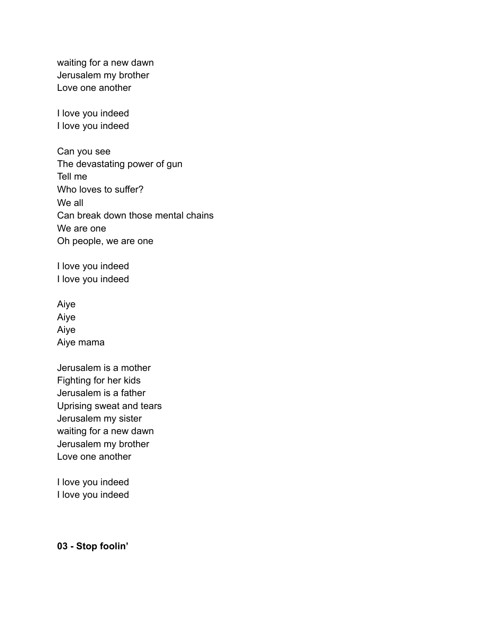waiting for a new dawn Jerusalem my brother Love one another

I love you indeed I love you indeed

Can you see The devastating power of gun Tell me Who loves to suffer? We all Can break down those mental chains We are one Oh people, we are one

I love you indeed I love you indeed

Aiye Aiye Aiye Aiye mama

Jerusalem is a mother Fighting for her kids Jerusalem is a father Uprising sweat and tears Jerusalem my sister waiting for a new dawn Jerusalem my brother Love one another

I love you indeed I love you indeed

**03 - Stop foolin'**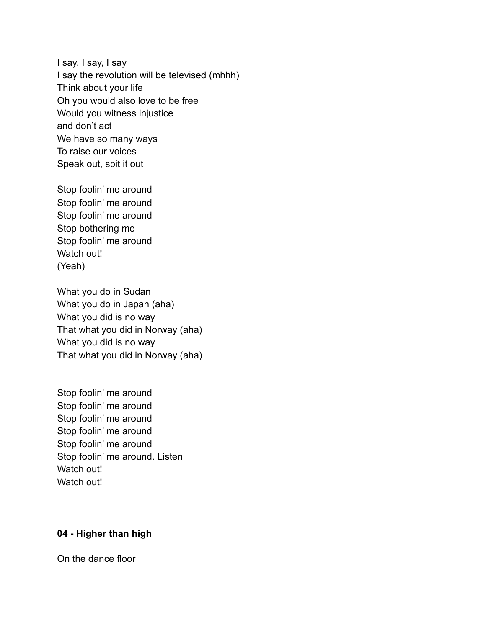I say, I say, I say I say the revolution will be televised (mhhh) Think about your life Oh you would also love to be free Would you witness injustice and don't act We have so many ways To raise our voices Speak out, spit it out

Stop foolin' me around Stop foolin' me around Stop foolin' me around Stop bothering me Stop foolin' me around Watch out! (Yeah)

What you do in Sudan What you do in Japan (aha) What you did is no way That what you did in Norway (aha) What you did is no way That what you did in Norway (aha)

Stop foolin' me around Stop foolin' me around Stop foolin' me around Stop foolin' me around Stop foolin' me around Stop foolin' me around. Listen Watch out! Watch out!

# **04 - Higher than high**

On the dance floor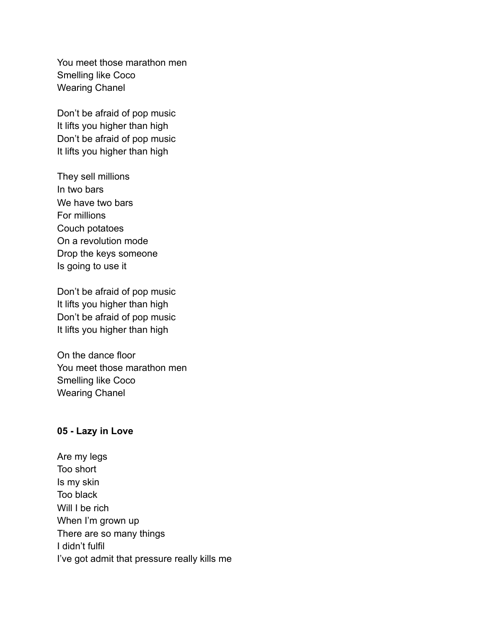You meet those marathon men Smelling like Coco Wearing Chanel

Don't be afraid of pop music It lifts you higher than high Don't be afraid of pop music It lifts you higher than high

They sell millions In two bars We have two bars For millions Couch potatoes On a revolution mode Drop the keys someone Is going to use it

Don't be afraid of pop music It lifts you higher than high Don't be afraid of pop music It lifts you higher than high

On the dance floor You meet those marathon men Smelling like Coco Wearing Chanel

# **05 - Lazy in Love**

Are my legs Too short Is my skin Too black Will I be rich When I'm grown up There are so many things I didn't fulfil I've got admit that pressure really kills me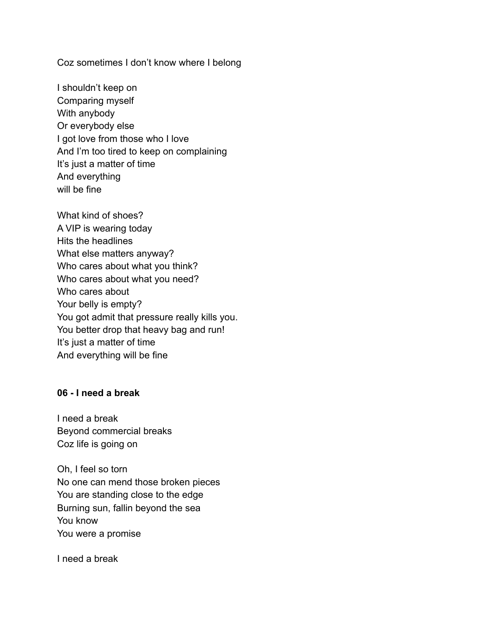Coz sometimes I don't know where I belong

I shouldn't keep on Comparing myself With anybody Or everybody else I got love from those who I love And I'm too tired to keep on complaining It's just a matter of time And everything will be fine

What kind of shoes? A VIP is wearing today Hits the headlines What else matters anyway? Who cares about what you think? Who cares about what you need? Who cares about Your belly is empty? You got admit that pressure really kills you. You better drop that heavy bag and run! It's just a matter of time And everything will be fine

# **06 - I need a break**

I need a break Beyond commercial breaks Coz life is going on

Oh, I feel so torn No one can mend those broken pieces You are standing close to the edge Burning sun, fallin beyond the sea You know You were a promise

I need a break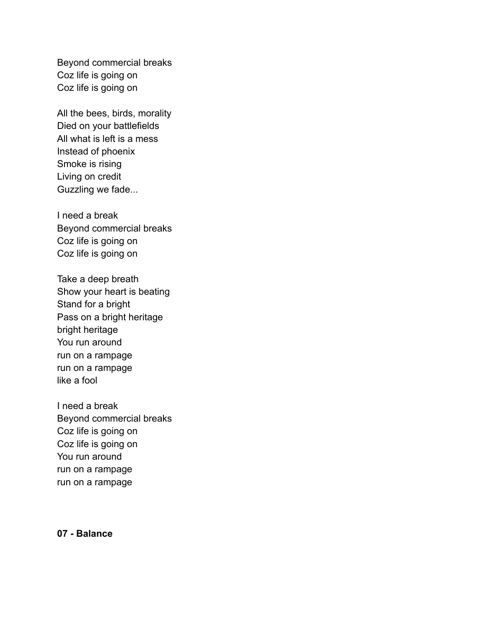Beyond commercial breaks Coz life is going on Coz life is going on

All the bees, birds, morality Died on your battlefields All what is left is a mess Instead of phoenix Smoke is rising Living on credit Guzzling we fade...

I need a break Beyond commercial breaks Coz life is going on Coz life is going on

Take a deep breath Show your heart is beating Stand for a bright Pass on a bright heritage bright heritage You run around run on a rampage run on a rampage like a fool

I need a break Beyond commercial breaks Coz life is going on Coz life is going on You run around run on a rampage run on a rampage

### **07 - Balance**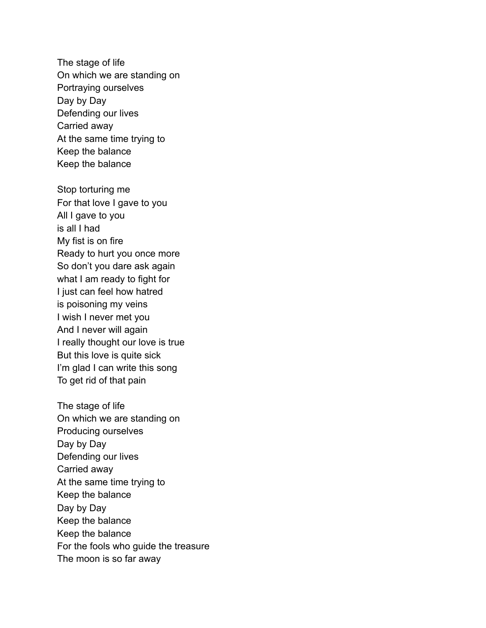The stage of life On which we are standing on Portraying ourselves Day by Day Defending our lives Carried away At the same time trying to Keep the balance Keep the balance

Stop torturing me For that love I gave to you All I gave to you is all I had My fist is on fire Ready to hurt you once more So don't you dare ask again what I am ready to fight for I just can feel how hatred is poisoning my veins I wish I never met you And I never will again I really thought our love is true But this love is quite sick I'm glad I can write this song To get rid of that pain

The stage of life On which we are standing on Producing ourselves Day by Day Defending our lives Carried away At the same time trying to Keep the balance Day by Day Keep the balance Keep the balance For the fools who guide the treasure The moon is so far away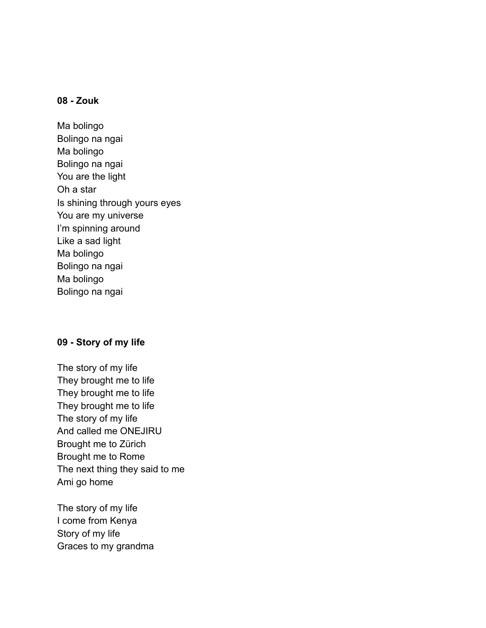# **08 - Zouk**

Ma bolingo Bolingo na ngai Ma bolingo Bolingo na ngai You are the light Oh a star Is shining through yours eyes You are my universe I'm spinning around Like a sad light Ma bolingo Bolingo na ngai Ma bolingo Bolingo na ngai

# **09 - Story of my life**

The story of my life They brought me to life They brought me to life They brought me to life The story of my life And called me ONEJIRU Brought me to Zürich Brought me to Rome The next thing they said to me Ami go home

The story of my life I come from Kenya Story of my life Graces to my grandma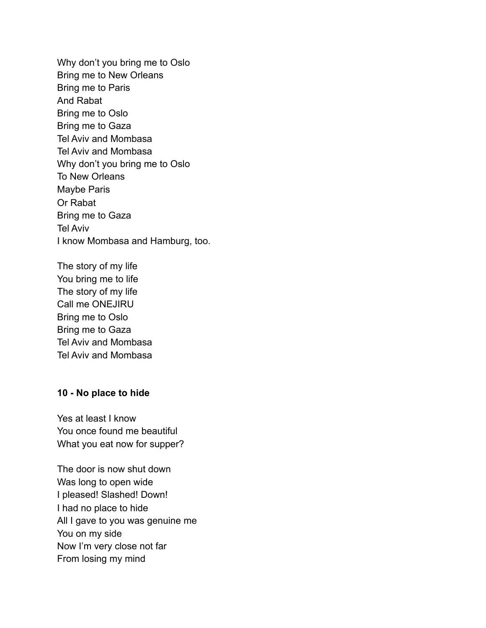Why don't you bring me to Oslo Bring me to New Orleans Bring me to Paris And Rabat Bring me to Oslo Bring me to Gaza Tel Aviv and Mombasa Tel Aviv and Mombasa Why don't you bring me to Oslo To New Orleans Maybe Paris Or Rabat Bring me to Gaza Tel Aviv I know Mombasa and Hamburg, too.

The story of my life You bring me to life The story of my life Call me ONEJIRU Bring me to Oslo Bring me to Gaza Tel Aviv and Mombasa Tel Aviv and Mombasa

### **10 - No place to hide**

Yes at least I know You once found me beautiful What you eat now for supper?

The door is now shut down Was long to open wide I pleased! Slashed! Down! I had no place to hide All I gave to you was genuine me You on my side Now I'm very close not far From losing my mind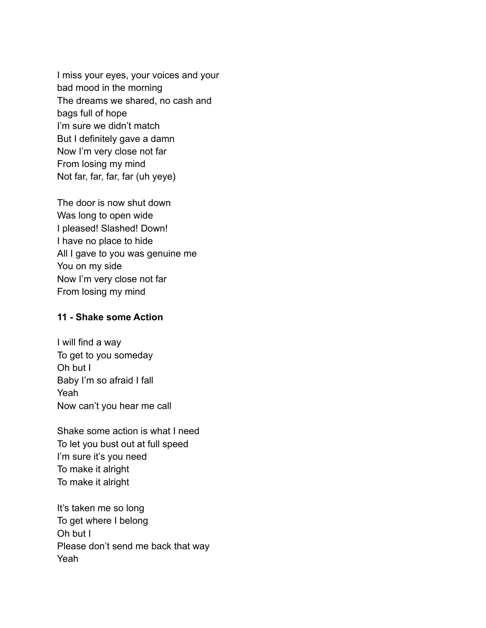I miss your eyes, your voices and your bad mood in the morning The dreams we shared, no cash and bags full of hope I'm sure we didn't match But I definitely gave a damn Now I'm very close not far From losing my mind Not far, far, far, far (uh yeye)

The door is now shut down Was long to open wide I pleased! Slashed! Down! I have no place to hide All I gave to you was genuine me You on my side Now I'm very close not far From losing my mind

# **11 - Shake some Action**

I will find a way To get to you someday Oh but I Baby I'm so afraid I fall Yeah Now can't you hear me call

Shake some action is what I need To let you bust out at full speed I'm sure it's you need To make it alright To make it alright

It's taken me so long To get where I belong Oh but I Please don't send me back that way Yeah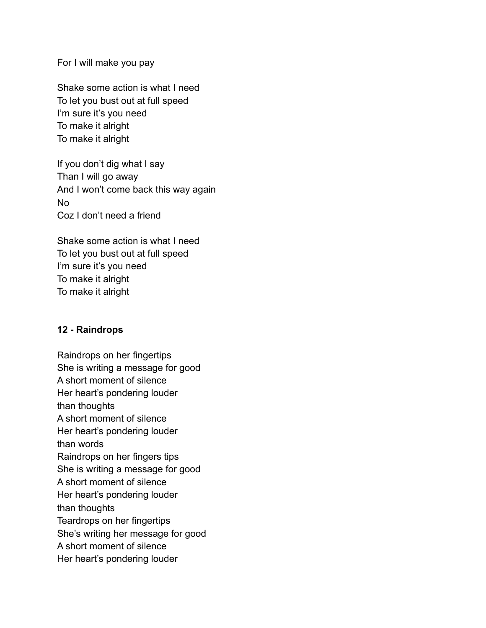For I will make you pay

Shake some action is what I need To let you bust out at full speed I'm sure it's you need To make it alright To make it alright

If you don't dig what I say Than I will go away And I won't come back this way again No Coz I don't need a friend

Shake some action is what I need To let you bust out at full speed I'm sure it's you need To make it alright To make it alright

# **12 - Raindrops**

Raindrops on her fingertips She is writing a message for good A short moment of silence Her heart's pondering louder than thoughts A short moment of silence Her heart's pondering louder than words Raindrops on her fingers tips She is writing a message for good A short moment of silence Her heart's pondering louder than thoughts Teardrops on her fingertips She's writing her message for good A short moment of silence Her heart's pondering louder